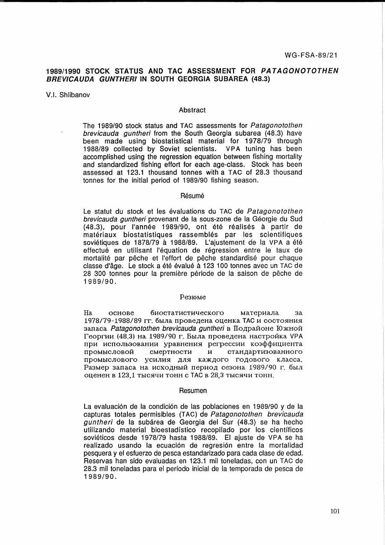# 1989/1990 **STOCK STATUS AND TAC ASSESSMENT FOR PATAGONOTOTHEN BREVICAUDA GUNTHERIIN SOUTH GEORGIA SUBAREA** (48.3)

V.1. Shlibanov

### Abstract

The 1989/90 stock status and TAG assessments for Patagonotothen brevicauda guntheri from the South Georgia subarea (48.3) have been made using biostatistical material for 1978/79 through 1988/89 collected by Soviet scientists. VPA tuning has been accomplished using the regression equation between fishing mortality and standardized fishing effort for each age-class. Stock has been assessed at 123.1 thousand tonnes with a TAG of 28.3 thousand tonnes for the initial period of 1989/90 fishing season.

#### Résumé

Le statut du stock et les évaluations du TAC de Patagonotothen brevicauda guntheri provenant de la sous-zone de la Géorgie du Sud (48.3), pour I'annee 1989/90, ont ete realises a partir de matériaux biostatistiques rassemblés par les scientifiques soviétiques de 1878/79 à 1988/89. L'aiustement de la VPA a été effectué en utilisant l'équation de régression entre le taux de mortalité par pêche et l'effort de pêche standardisé pour chaque classe d'âge. Le stock a été évalué à 123 100 tonnes avec un TAC de 28 300 tonnes pour la première période de la saison de pêche de 1989/90.

#### Pe3IOMe

На основе биостатистического материала за 1978/79-1988/89 гг. была проведена оценка ТАС и состояния запаса Patagonotothen brevicauda guntheri в Подрайоне Южной Георгии (48.3) на 1989/90 г. Была проведена настройка VPA при использовании уравнения регрессии коэффициента промысловой смертности и стандартизованного промыслового усилия для каждого годового класса. Размер запаса на исходный период сезона 1989/90 г. был оценен в 123,1 тысячи тонн с ТАС в 28,3 тысячи тонн.

#### Resumen

La evaluación de la condición de las poblaciones en 1989/90 y de la capturas totales permisibles (TAG) de Patagonotothen brevicauda guntheri de la subárea de Georgia del Sur (48.3) se ha hecho utilizando material bioestadistico recopilado por los cientificos sovieticos desde 1978/79 hasta 1988/89. El ajuste de VPA se ha realizado usando la ecuación de regresión entre la mortalidad pesquera y el esfuerzo de pesca estandarizado para cada clase de edad. Reservas han sido evaluadas en 123.1 mil toneladas, con un TAG de 28.3 mil toneladas para el periodo inicial de la temporada de pesca de 1989/90.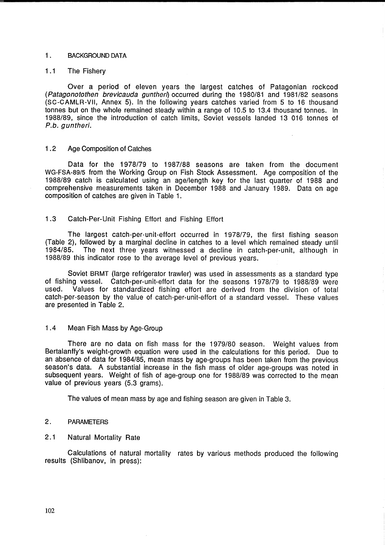### 1. BACKGROUND DATA

### 1.1 The Fishery

Over a period of eleven years the largest catches of Patagonian rockcod (Patagonotothen brevicauda guntheri) occurred during the 1980/81 and 1981/82 seasons (SC-CAMLR-VII, Annex 5). In the following years catches varied from 5 to 16 thousand tonnes but on the whole remained steady within a range of 10.5 to 13.4 thousand tonnes. In 1988/89, since the introduction of catch limits, Soviet vessels landed 13 016 tonnes of P.b. guntheri.

# 1 .2 Age Composition of Catches

Data for the 1978/79 to 1987/88 seasons are taken from the document WG-FSA-89/5 from the Working Group on Fish Stock Assessment. Age composition of the 1988/89 catch is calculated using an age/length key for the last quarter of 1988 and comprehensive measurements taken in December 1988 and January 1989. Data on age composition of catches are given in Table 1.

# 1.3 Catch-Per-Unit Fishing Effort and Fishing Effort

The largest catch-per-unit-effort occurred in 1978/79, the first fishing season (Table 2), followed by a marginal decline in catches to a level which remained steady until 1984/85. The next three years witnessed a decline in catch-per-unit, although in 1988/89 this indicator rose to the average level of previous years.

Soviet BRMT (large refrigerator trawler) was used in assessments as a standard type of fishing vessel. Catch-per-unit-effort data for the seasons 1978/79 to 1988/89 were used. Values for standardized fishing effort are derived from the division of total catch-per-season by the value of catch-per-unit-effort of a standard vessel. These values are presented in Table 2.

# 1 .4 Mean Fish Mass by Age-Group

There are no data on fish mass for the 1979/80 season. Weight values from Bertalanffy's weight-growth equation were used in the calculations for this period. Due to an absence of data for 1984/85, mean mass by age-groups has been taken from the previous season's data. A substantial increase in the fish mass of older age-groups was noted in subsequent years. Weight of fish of age-group one for 1988/89 was corrected to the mean value of previous years (5.3 grams).

The values of mean mass by age and fishing season are given in Table 3.

#### 2. PARAMETERS

# 2.1 Natural Mortality Rate

Calculations of natural mortality rates by various methods produced the following results (Shlibanov, in press):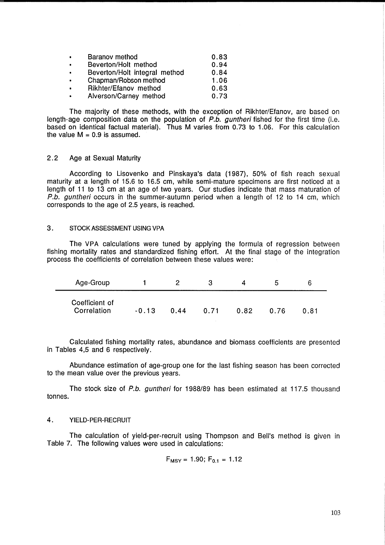| $\bullet$      | Baranov method                | 0.83 |
|----------------|-------------------------------|------|
| $\blacksquare$ | Beverton/Holt method          | 0.94 |
| $\bullet$      | Beverton/Holt integral method | 0.84 |
| $\bullet$      | Chapman/Robson method         | 1.06 |
| $\bullet$      | Rikhter/Efanov method         | 0.63 |
| $\bullet$      | Alverson/Carney method        | 0.73 |

The majority of these methods, with the exception of Rikhter/Efanov, are based on length-age composition data on the population of P.b. guntheri fished for the first time (i.e. based on identical factual material). Thus M varies from 0.73 to 1.06. For this calculation the value  $M = 0.9$  is assumed.

### 2.2 Age at Sexual Maturity

According to Lisovenko and Pinskaya's data (1987), 50% of fish reach sexual maturity at a length of 15.6 to 16.5 cm, while semi-mature specimens are first noticed at a length of 11 to 13 cm at an age of two years. Our studies indicate that mass maturation of P.b. guntheri occurs in the summer-autumn period when a length of 12 to 14 cm, which corresponds to the age of 2.5 years, is reached.

#### 3. STOCK ASSESSMENT USING VPA

The VPA calculations were tuned by applying the formula of regression between fishing mortality rates and standardized fishing effort. At the final stage of the integration process the coefficients of correlation between these values were:

| Age-Group                     |         |      |      |      | Ð.   |      |
|-------------------------------|---------|------|------|------|------|------|
| Coefficient of<br>Correlation | $-0.13$ | 0.44 | 0.71 | 0.82 | 0.76 | 0.81 |

Calculated fishing mortality rates, abundance and biomass coefficients are presented in Tables 4,5 and 6 respectively.

Abundance estimation of age-group one for the last fishing season has been corrected to the mean value over the previous years.

The stock size of P.b. guntheri for 1988/89 has been estimated at 117.5 thousand tonnes.

### 4. YIELD-PER-RECRUIT

The calculation of yield-per-recruit using Thompson and Bell's method is given in Table 7. The following values were used in calculations:

$$
F_{MSY} = 1.90; F_{0.1} = 1.12
$$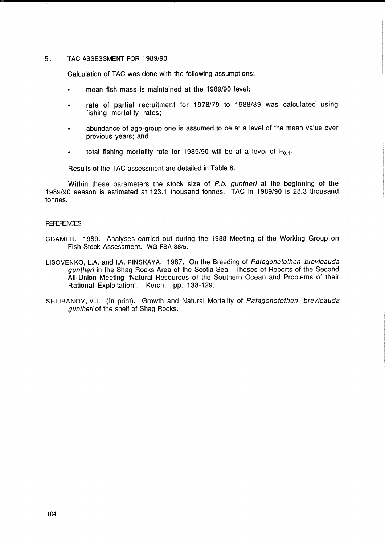#### 5. TAC ASSESSMENT FOR 1989/90

Calculation of TAC was done with the following assumptions:

- mean fish mass is maintained at the 1989/90 level;
- rate of partial recruitment for 1978/79 to 1988/89 was calculated using fishing mortality rates;
- abundance of age-group one is assumed to be at a level of the mean value over  $\bullet$ previous years; and
- total fishing mortality rate for 1989/90 will be at a level of  $F_{0.1}$ .  $\bullet$

Results of the TAC assessment are detailed in Table 8.

Within these parameters the stock size of P.b. guntheri at the beginning of the 1989/90 season is estimated at 123.1 thousand tonnes. TAC in 1989/90 is 28.3 thousand tonnes.

#### **REFERENCES**

- CCAMLR. 1989. Analyses carried out during the 1988 Meeting of the Working Group on Fish Stock Assessment. WG-FSA-88/S.
- LlSOVENKO, L.A. and I.A. PINSKAYA. 1987. On the Breeding of Patagonotothen brevicauda guntheri in the Shag Rocks Area of the Scotia Sea. Theses of Reports of the Second All-Union Meeting "Natural Resources of the Southern Ocean and Problems of their Rational Exploitation". Kerch. pp. 138-129.
- SHLlBANOV, V.I. (In print). Growth and Natural Mortality of Patagonotothen brevicauda guntheri of the shelf of Shag Rocks.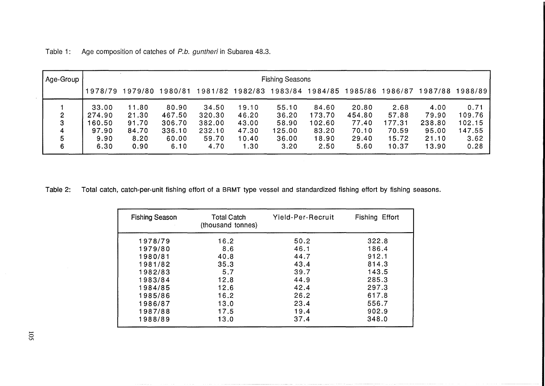| Age-Group |         |         |        |        |         | <b>Fishing Seasons</b> |         |         |         |         |         |
|-----------|---------|---------|--------|--------|---------|------------------------|---------|---------|---------|---------|---------|
|           | 1978/79 | 1979/80 | 980/81 | 981/82 | 1982/83 | 1983/84                | 1984/85 | 1985/86 | 1986/87 | 1987/88 | 1988/89 |
|           | 33.00   | 11.80   | 80.90  | 34.50  | 19.10   | 55.10                  | 84.60   | 20.80   | 2.68    | 4.00    | 0.71    |
| 2         | 274.90  | 21.30   | 467.50 | 320.30 | 46.20   | 36.20                  | 173.70  | 454.80  | 57.88   | 79.90   | 109.76  |
| 3         | 160.50  | 91.70   | 306.70 | 382.00 | 43.00   | 58.90                  | 102.60  | 77.40   | 177.31  | 238.80  | 102.15  |
| 4         | 97.90   | 84.70   | 336.10 | 232.10 | 47.30   | 125.00                 | 83.20   | 70.10   | 70.59   | 95.00   | 147.55  |
| 5         | 9.90    | 8.20    | 60.00  | 59.70  | 10.40   | 36.00                  | 18.90   | 29.40   | 15.72   | 21.10   | 3.62    |
| 6         | 6.30    | 0.90    | 6.10   | 4.70   | 1.30    | 3.20                   | 2.50    | 5.60    | 10.37   | 13.90   | 0.28    |

Table 1: Age composition of catches of P.b. guntheri in Subarea 48.3.

Table 2: Total catch, catch-per-unit fishing effort of a BRMT type vessel and standardized fishing effort by fishing seasons.

| <b>Fishing Season</b> | <b>Total Catch</b><br>(thousand tonnes) | Yield-Per-Recruit | Fishing Effort |
|-----------------------|-----------------------------------------|-------------------|----------------|
| 1978/79               | 16.2                                    | 50.2              | 322.8          |
| 1979/80<br>1980/81    | 8.6<br>40.8                             | 46.1<br>44.7      | 186.4<br>912.1 |
| 1981/82               | 35.3                                    | 43.4              | 814.3          |
| 1982/83               | 5.7                                     | 39.7              | 143.5          |
| 1983/84               | 12.8                                    | 44.9              | 285.3          |
| 1984/85               | 12.6                                    | 42.4              | 297.3          |
| 1985/86               | 16.2                                    | 26.2              | 617.8          |
| 1986/87               | 13.0                                    | 23.4              | 556.7          |
| 1987/88               | 17.5                                    | 19.4              | 902.9          |
| 1988/89               | 13.0                                    | 37.4              | 348.0          |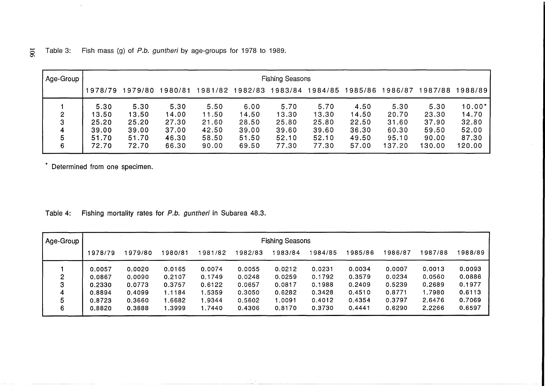|  |  |  |  | $\Xi$ Table 3: Fish mass (g) of P.b. guntheri by age-groups for 1978 to 1989. |  |  |  |  |
|--|--|--|--|-------------------------------------------------------------------------------|--|--|--|--|
|--|--|--|--|-------------------------------------------------------------------------------|--|--|--|--|

| Age-Group |         |         |         |         |         | <b>Fishing Seasons</b> |         |         |         |         |          |
|-----------|---------|---------|---------|---------|---------|------------------------|---------|---------|---------|---------|----------|
|           | 1978/79 | 1979/80 | 1980/81 | 1981/82 | 1982/83 | 1983/84                | 1984/85 | 1985/86 | 1986/87 | 1987/88 | 1988/89  |
|           | 5.30    | 5.30    | 5:30    | 5.50    | 6.00    | 5.70                   | 5.70    | 4.50    | 5.30    | 5.30    | $10.00*$ |
| 2         | 13.50   | 13.50   | 14.00   | 11.50   | 14.50   | 13.30                  | 13.30   | 14.50   | 20.70   | 23.30   | 14.70    |
| 3         | 25.20   | 25.20   | 27.30   | 21.60   | 28.50   | 25.80                  | 25.80   | 22.50   | 31.60   | 37.90   | 32.80    |
| 4         | 39.00   | 39.00   | 37.00   | 42.50   | 39.00   | 39.60                  | 39.60   | 36.30   | 60.30   | 59.50   | 52.00    |
| 5         | 51.70   | 51.70   | 46.30   | 58.50   | 51.50   | 52.10                  | 52.10   | 49.50   | 95.10   | 90.00   | 87.30    |
| 6         | 72.70   | 72.70   | 66.30   | 90.00   | 69.50   | 77.30                  | 77.30   | 57.00   | 137.20  | 130.00  | 120.00   |

\* Determined from one specimen.

 $\sim$ 

Table 4: Fishing mortality rates for P.b. guntheri in Subarea 48.3.

| Age-Group |         |         |         |        |         | <b>Fishing Seasons</b> |         |         |         |        |         |
|-----------|---------|---------|---------|--------|---------|------------------------|---------|---------|---------|--------|---------|
|           | 1978/79 | 1979/80 | 1980/81 | 981/82 | 1982/83 | 1983/84                | 1984/85 | 1985/86 | 1986/87 | 987/88 | 1988/89 |
|           | 0.0057  | 0.0020  | 0.0165  | 0.0074 | 0.0055  | 0.0212                 | 0.0231  | 0.0034  | 0.0007  | 0.0013 | 0.0093  |
| 2         | 0.0867  | 0.0090  | 0.2107  | 0.1749 | 0.0248  | 0.0259                 | 0.1792  | 0.3579  | 0.0234  | 0.0560 | 0.0886  |
| 3         | 0.2330  | 0.0773  | 0.3757  | 0.6122 | 0.0657  | 0.0817                 | 0.1988  | 0.2409  | 0.5239  | 0.2689 | 0.1977  |
| 4         | 0.8894  | 0.4099  | 1.1184  | 1.5359 | 0.3050  | 0.6282                 | 0.3428  | 0.4510  | 0.8771  | 1.7980 | 0.6113  |
| 5         | 0.8723  | 0.3660  | .6682   | 1.9344 | 0.5602  | 1.0091                 | 0.4012  | 0.4354  | 0.3797  | 2.6476 | 0.7069  |
| 6         | 0.8820  | 0.3888  | 8999.∣  | 1.7440 | 0.4306  | 0.8170                 | 0.3730  | 0.4441  | 0.6290  | 2.2266 | 0.6597  |

.....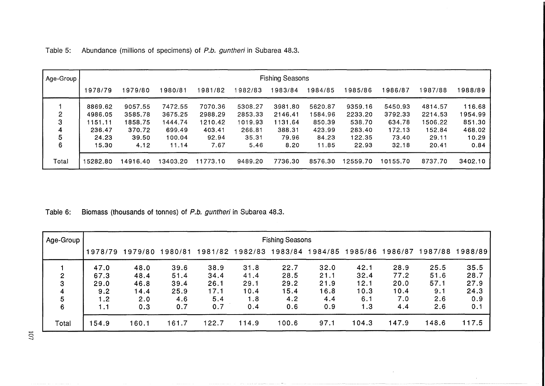| Age-Group |         |         |          |          |         | <b>Fishing Seasons</b> |         |          |          |         |         |
|-----------|---------|---------|----------|----------|---------|------------------------|---------|----------|----------|---------|---------|
|           | 1978/79 | 1979/80 | 980/81   | 1981/82  | 1982/83 | 1983/84                | 1984/85 | 1985/86  | 1986/87  | 1987/88 | 1988/89 |
|           | 8869.62 | 9057.55 | 7472.55  | 7070.36  | 5308.27 | 3981.80                | 5620.87 | 9359.16  | 5450.93  | 4814.57 | 116.68  |
| 2         | 4986.05 | 3585.78 | 3675.25  | 2988.29  | 2853.33 | 2146.41                | 1584.96 | 2233.20  | 3792.33  | 2214.53 | 1954.99 |
| 3         | 1151.11 | 1858.75 | 1444.74  | 1210.42  | 1019.93 | 1131.64                | 850.39  | 538.70   | 634.78   | 1506.22 | 851.30  |
| 4         | 236.47  | 370.72  | 699.49   | 403.41   | 266.81  | 388.31                 | 423.99  | 283.40   | 172.13   | 152.84  | 468.02  |
| 5         | 24.23   | 39.50   | 100.04   | 92.94    | 35.31   | 79.96                  | 84.23   | 122.35   | 73.40    | 29.11   | 10.29   |
| 6         | 15.30   | 4.12    | 11.14    | 7.67     | 5.46    | 8.20                   | 11.85   | 22.93    | 32.18    | 20.41   | 0.84    |
| Total     | 5282.80 | 4916.40 | 13403.20 | 11773.10 | 9489.20 | 7736.30                | 8576.30 | 12559.70 | 10155.70 | 8737.70 | 3402.10 |

Table 5: Abundance (millions of specimens) of P.b. guntheri in Subarea 48.3.

Table 6: Biomass (thousands of tonnes) of P.b. guntheri in Subarea 48.3.

| Age-Group |         | <b>Fishing Seasons</b> |         |         |         |       |                 |         |         |         |         |  |
|-----------|---------|------------------------|---------|---------|---------|-------|-----------------|---------|---------|---------|---------|--|
|           | 1978/79 | 1979/80                | 1980/81 | 1981/82 | 1982/83 |       | 1983/84 1984/85 | 1985/86 | 1986/87 | 1987/88 | 1988/89 |  |
|           | 47.0    | 48.0                   | 39.6    | 38.9    | 31.8    | 22.7  | 32.0            | 42.1    | 28.9    | 25.5    | 35.5    |  |
| 2         | 67.3    | 48.4                   | 51.4    | 34.4    | 41.4    | 28.5  | 21.1            | 32.4    | 77.2    | 51.6    | 28.7    |  |
| 3         | 29.0    | 46.8                   | 39.4    | 26.1    | 29.1    | 29.2  | 21.9            | 12.1    | 20.0    | 57.1    | 27.9    |  |
| 4         | 9.2     | 14.4                   | 25.9    | 17.1    | 10.4    | 15.4  | 6.8             | 10.3    | 10.4    | 9.1     | 24.3    |  |
| 5         | 1.2     | 2.0                    | 4.6     | 5.4     | 1.8     | 4.2   | 4.4             | 6.1     | 7.0     | 2.6     | 0.9     |  |
| 6         | 1.1     | 0.3                    | 0.7     | 0.7     | 0.4     | 0.6   | 0.9             | 1.3     | 4.4     | 2.6     | 0.1     |  |
| Total     | 154.9   | 160.1                  | 161.7   | 122.7   | 114.9   | 100.6 | 97.1            | 104.3   | 147.9   | 148.6   | 117.5   |  |

 $52$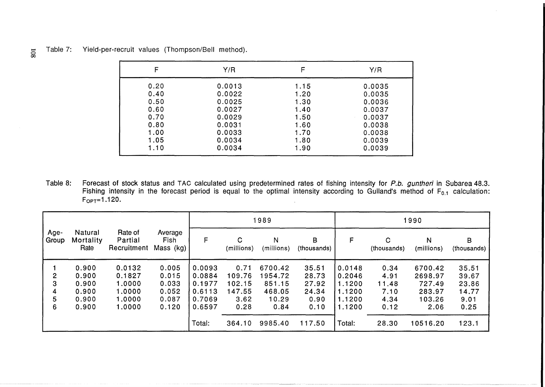| $\equiv$ Table 7: | Yield-per-recruit values (Thompson/Bell method). |  |  |
|-------------------|--------------------------------------------------|--|--|
|                   |                                                  |  |  |

| F    | Y/R    |      | Y/R    |
|------|--------|------|--------|
| 0.20 | 0.0013 | 1.15 | 0.0035 |
| 0.40 | 0.0022 | 1.20 | 0.0035 |
| 0.50 | 0.0025 | 1.30 | 0.0036 |
| 0.60 | 0.0027 | 1.40 | 0.0037 |
| 0.70 | 0.0029 | 1.50 | 0.0037 |
| 0.80 | 0.0031 | 1.60 | 0.0038 |
| 1.00 | 0.0033 | 1.70 | 0.0038 |
| 1.05 | 0.0034 | 1.80 | 0.0039 |
| 1.10 | 0.0034 | 1.90 | 0.0039 |

Table 8: Forecast of stock status and TAC calculated using predetermined rates of fishing intensity for P.b. guntheri in Subarea 48.3. Fishing intensity in the forecast period is equal to the optimal intensity according to Gulland's method of F<sub>0.1</sub> calculation:  $F_{OPT} = 1.120.$ 

|                                  |                                                    |                                                          |                                                    | 1989                                                     |                                                    |                                                         |                                                  |                                                          |                                               | 1990                                                     |                                                  |
|----------------------------------|----------------------------------------------------|----------------------------------------------------------|----------------------------------------------------|----------------------------------------------------------|----------------------------------------------------|---------------------------------------------------------|--------------------------------------------------|----------------------------------------------------------|-----------------------------------------------|----------------------------------------------------------|--------------------------------------------------|
| Age-<br>Group                    | Natural<br>Mortality<br>Rate                       | Rate of<br>Partial<br>Recruitment                        | Average<br>Fish<br>Mass (kg)                       | F                                                        | $\mathbf C$<br>(millions)                          | N<br>(millions)                                         | B<br>(thousands)                                 | F                                                        | $\mathbf C$<br>(thousands)                    | N<br>(millions)                                          | B<br>(thousands)                                 |
| $\mathbf{2}$<br>3<br>4<br>5<br>6 | 0.900<br>0.900<br>0.900<br>0.900<br>0.900<br>0.900 | 0.0132<br>0.1827<br>1.0000<br>1.0000<br>1,0000<br>1.0000 | 0.005<br>0.015<br>0.033<br>0.052<br>0.087<br>0.120 | 0.0093<br>0.0884<br>0.1977<br>0.6113<br>0.7069<br>0.6597 | 0.71<br>109.76<br>102.15<br>147.55<br>3.62<br>0.28 | 6700.42<br>1954.72<br>851.15<br>468.05<br>10.29<br>0.84 | 35.51<br>28.73<br>27.92<br>24.34<br>0.90<br>0.10 | 0.0148<br>0.2046<br>1.1200<br>1.1200<br>1.1200<br>1.1200 | 0.34<br>4.91<br>11.48<br>7.10<br>4.34<br>0.12 | 6700.42<br>2698.97<br>727.49<br>283.97<br>103.26<br>2.06 | 35.51<br>39.67<br>23.86<br>14.77<br>9.01<br>0.25 |
|                                  |                                                    |                                                          |                                                    | Total:                                                   | 364.10                                             | 9985.40                                                 | 117.50                                           | Total:                                                   | 28.30                                         | 10516.20                                                 | 123.1                                            |

00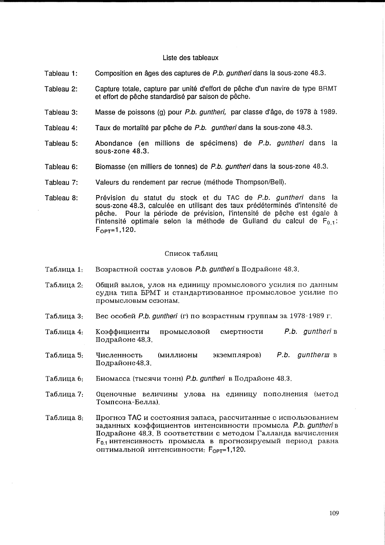### Liste des tableaux

- Tableau 1: Composition en âges des captures de P.b. guntheri dans la sous-zone 48.3.
- Tableau 2: Capture totale, capture par unité d'effort de pêche d'un navire de type BRMT et effort de pêche standardisé par saison de pêche.
- Tableau 3: Masse de poissons (g) pour P.b. guntheri, par classe d'âge, de 1978 à 1989.
- Tableau 4: Taux de mortalité par pêche de P.b. guntheri dans la sous-zone 48.3.
- Tableau 5: Abondance (en millions de specimens) de P.b. guntheri dans la sous-zone 48.3.
- Tableau 6: Biomasse (en milliers de tonnes) de P.b. guntheri dans la sous-zone 48.3.
- Tableau 7: Valeurs du rendement par recrue (méthode Thompson/Bell).
- Tableau 8: Prévision du statut du stock et du TAC de P.b. guntheri dans la sous-zone 48.3, calculée en utilisant des taux prédéterminés d'intensité de pêche. Pour la période de prévision, l'intensité de pêche est égale à l'intensité optimale selon la méthode de Gulland du calcul de  $F_{0,1}$ :  $F_{\text{OPT}} = 1,120.$

#### Список таблиц

- $Ta6$ лица 1: Возрастной состав уловов *P.b. quntheri* в Подрайоне 48.3.
- Таблица 2: 0бщий вылов, улов на единицу промыслового усилия по данным судна типа БРМТ и стандартизованное промысловое усилие по npOMbICJIOBbIM ce30HaM.
- Таблица 3: Bec особей P.b. quntheri (г) по возрастным группам за 1978-1989 г.
- Таблица 4: Коэффициенты промысловой смертности P.b. guntheri в Подрайоне 48.3.
- Таблица 5:  $U$ исленность (миллионы экземпляров) P.b. gunther и в Подрайоне48.3.
- Таблица 6: Биомасса (тысячи тонн) P.b. guntheri в Подрайоне 48.3.
- Таблина 7: Оценочные величины улова на единицу пополнения (метод TOMnCOHa-EeJIJIa).
- Прогноз ТАС и состояния запаса, рассчитанные с использованием Таблица 8: заданных коэффициентов интенсивности промысла P.b. quntheri в Подрайоне 48.3. В соответствии с методом Галланда вычисления  $F_{0.1}$  интенсивность промысла в прогнозируемый период равна оптимальной интенсивности: F<sub>OPT</sub>=1,120.